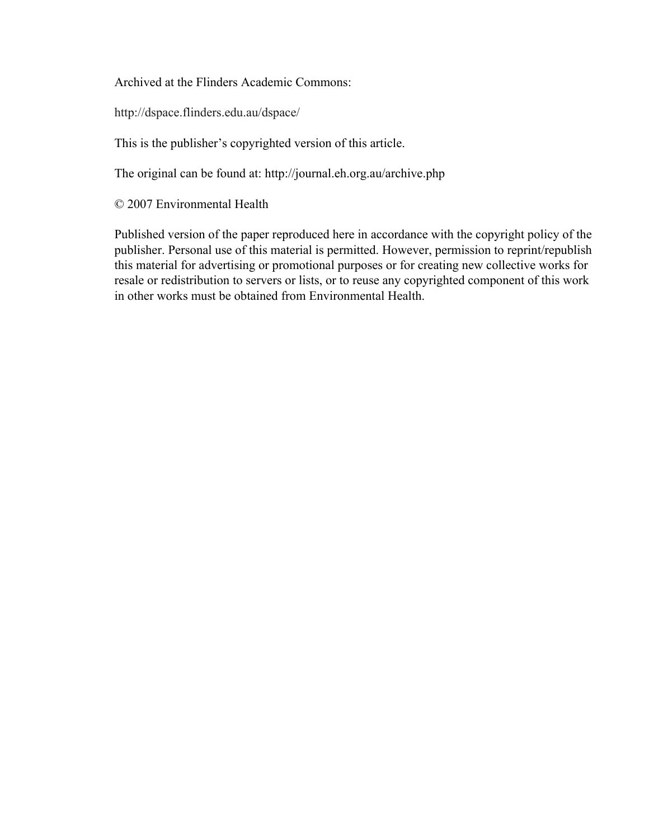Archived at the Flinders Academic Commons:

http://dspace.flinders.edu.au/dspace/

This is the publisher's copyrighted version of this article.

The original can be found at: http://journal.eh.org.au/archive.php

© 2007 Environmental Health

Published version of the paper reproduced here in accordance with the copyright policy of the publisher. Personal use of this material is permitted. However, permission to reprint/republish this material for advertising or promotional purposes or for creating new collective works for resale or redistribution to servers or lists, or to reuse any copyrighted component of this work in other works must be obtained from Environmental Health.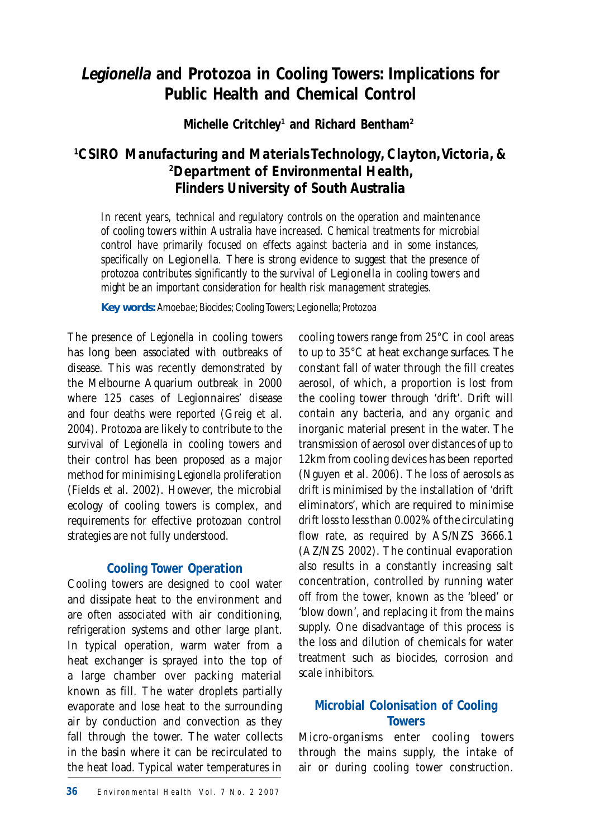# **Legionella and Protozoa in Cooling Towers: Implications for Public Health and Chemical Control**

**Michelle Critchley1 and Richard Bentham2**

# *1 CSIRO Manufacturing and Materials Technology, Clayton, Victoria, & 2 Department of Environmental Health, Flinders University of South Australia*

*In recent years, technical and regulatory controls on the operation and maintenance of cooling towers within Australia have increased. Chemical treatments for microbial control have primarily focused on effects against bacteria and in some instances, specifically on* Legionella*. There is strong evidence to suggest that the presence of protozoa contributes significantly to the survival of Legionella in cooling towers and might be an important consideration for health risk management strategies.*

**Key words:** *Amoebae; Biocides; Cooling Towers;* Legionella*; Protozoa* 

The presence of *Legionella* in cooling towers has long been associated with outbreaks of disease. This was recently demonstrated by the Melbourne Aquarium outbreak in 2000 where 125 cases of Legionnaires' disease and four deaths were reported (Greig et al. 2004). Protozoa are likely to contribute to the survival of *Legionella* in cooling towers and their control has been proposed as a major method for minimising *Legionella* proliferation (Fields et al. 2002). However, the microbial ecology of cooling towers is complex, and requirements for effective protozoan control strategies are not fully understood.

## **Cooling Tower Operation**

Cooling towers are designed to cool water and dissipate heat to the environment and are often associated with air conditioning, refrigeration systems and other large plant. In typical operation, warm water from a heat exchanger is sprayed into the top of a large chamber over packing material known as fill. The water droplets partially evaporate and lose heat to the surrounding air by conduction and convection as they fall through the tower. The water collects in the basin where it can be recirculated to the heat load. Typical water temperatures in

cooling towers range from 25°C in cool areas to up to 35°C at heat exchange surfaces. The constant fall of water through the fill creates aerosol, of which, a proportion is lost from the cooling tower through 'drift'. Drift will contain any bacteria, and any organic and inorganic material present in the water. The transmission of aerosol over distances of up to 12km from cooling devices has been reported (Nguyen et al. 2006). The loss of aerosols as drift is minimised by the installation of 'drift eliminators', which are required to minimise drift loss to less than 0.002% of the circulating flow rate, as required by AS/NZS 3666.1 (AZ/NZS 2002). The continual evaporation also results in a constantly increasing salt concentration, controlled by running water off from the tower, known as the 'bleed' or 'blow down', and replacing it from the mains supply. One disadvantage of this process is the loss and dilution of chemicals for water treatment such as biocides, corrosion and scale inhibitors.

## **Microbial Colonisation of Cooling Towers**

Micro-organisms enter cooling towers through the mains supply, the intake of air or during cooling tower construction.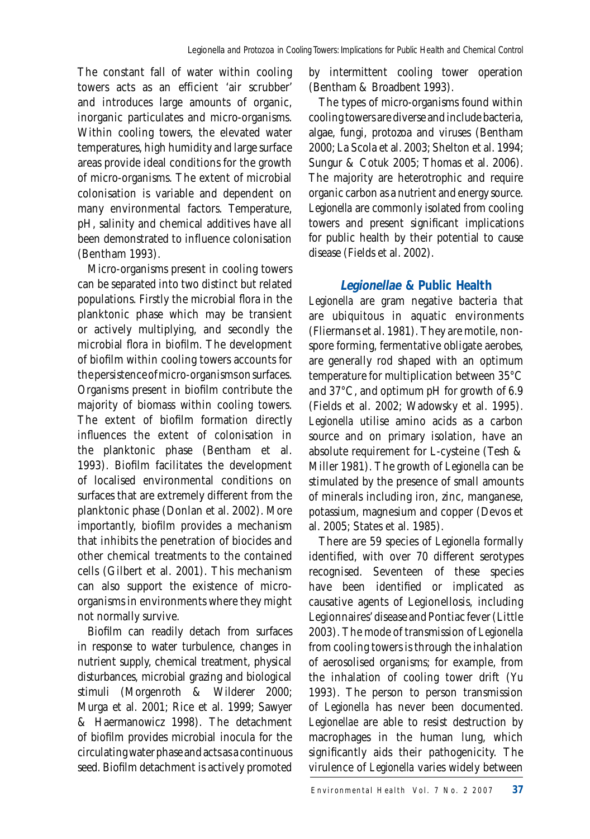The constant fall of water within cooling towers acts as an efficient 'air scrubber' and introduces large amounts of organic, inorganic particulates and micro-organisms. Within cooling towers, the elevated water temperatures, high humidity and large surface areas provide ideal conditions for the growth of micro-organisms. The extent of microbial colonisation is variable and dependent on many environmental factors. Temperature, pH, salinity and chemical additives have all been demonstrated to influence colonisation (Bentham 1993).

Micro-organisms present in cooling towers can be separated into two distinct but related populations. Firstly the microbial flora in the planktonic phase which may be transient or actively multiplying, and secondly the microbial flora in biofilm. The development of biofilm within cooling towers accounts for the persistence of micro-organisms on surfaces. Organisms present in biofilm contribute the majority of biomass within cooling towers. The extent of biofilm formation directly influences the extent of colonisation in the planktonic phase (Bentham et al. 1993). Biofilm facilitates the development of localised environmental conditions on surfaces that are extremely different from the planktonic phase (Donlan et al. 2002). More importantly, biofilm provides a mechanism that inhibits the penetration of biocides and other chemical treatments to the contained cells (Gilbert et al. 2001). This mechanism can also support the existence of microorganisms in environments where they might not normally survive.

Biofilm can readily detach from surfaces in response to water turbulence, changes in nutrient supply, chemical treatment, physical disturbances, microbial grazing and biological stimuli (Morgenroth & Wilderer 2000; Murga et al. 2001; Rice et al. 1999; Sawyer & Haermanowicz 1998). The detachment of biofilm provides microbial inocula for the circulating water phase and acts as a continuous seed. Biofilm detachment is actively promoted by intermittent cooling tower operation (Bentham & Broadbent 1993).

The types of micro-organisms found within cooling towers are diverse and include bacteria, algae, fungi, protozoa and viruses (Bentham 2000; La Scola et al. 2003; Shelton et al. 1994; Sungur & Cotuk 2005; Thomas et al. 2006). The majority are heterotrophic and require organic carbon as a nutrient and energy source. *Legionella* are commonly isolated from cooling towers and present significant implications for public health by their potential to cause disease (Fields et al. 2002).

## **Legionellae & Public Health**

*Legionella* are gram negative bacteria that are ubiquitous in aquatic environments (Fliermans et al. 1981). They are motile, nonspore forming, fermentative obligate aerobes, are generally rod shaped with an optimum temperature for multiplication between 35°C and 37°C, and optimum pH for growth of 6.9 (Fields et al. 2002; Wadowsky et al. 1995). *Legionella* utilise amino acids as a carbon source and on primary isolation, have an absolute requirement for L-cysteine (Tesh & Miller 1981). The growth of *Legionella* can be stimulated by the presence of small amounts of minerals including iron, zinc, manganese, potassium, magnesium and copper (Devos et al. 2005; States et al. 1985).

There are 59 species of *Legionella* formally identified, with over 70 different serotypes recognised. Seventeen of these species have been identified or implicated as causative agents of Legionellosis, including Legionnaires' disease and Pontiac fever (Little 2003). The mode of transmission of *Legionella* from cooling towers is through the inhalation of aerosolised organisms; for example, from the inhalation of cooling tower drift (Yu 1993). The person to person transmission of *Legionella* has never been documented. *Legionellae* are able to resist destruction by macrophages in the human lung, which significantly aids their pathogenicity. The virulence of *Legionella* varies widely between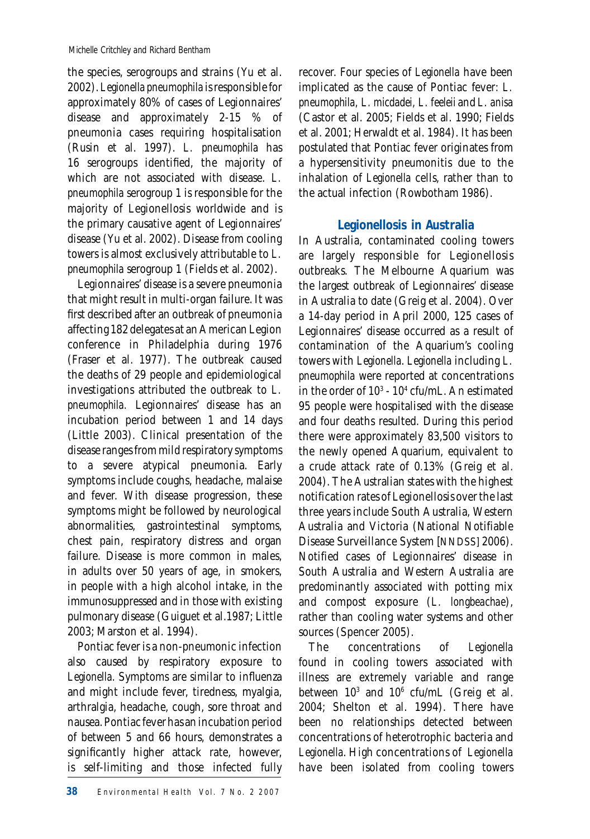the species, serogroups and strains (Yu et al. 2002). *Legionella pneumophila* is responsible for approximately 80% of cases of Legionnaires' disease and approximately 2-15 % of pneumonia cases requiring hospitalisation (Rusin et al. 1997). *L. pneumophila* has 16 serogroups identified, the majority of which are not associated with disease. *L. pneumophila* serogroup 1 is responsible for the majority of Legionellosis worldwide and is the primary causative agent of Legionnaires' disease (Yu et al. 2002). Disease from cooling towers is almost exclusively attributable to *L. pneumophila* serogroup 1 (Fields et al. 2002).

Legionnaires' disease is a severe pneumonia that might result in multi-organ failure. It was first described after an outbreak of pneumonia affecting 182 delegates at an American Legion conference in Philadelphia during 1976 (Fraser et al. 1977). The outbreak caused the deaths of 29 people and epidemiological investigations attributed the outbreak to *L. pneumophila.* Legionnaires' disease has an incubation period between 1 and 14 days (Little 2003). Clinical presentation of the disease ranges from mild respiratory symptoms to a severe atypical pneumonia. Early symptoms include coughs, headache, malaise and fever. With disease progression, these symptoms might be followed by neurological abnormalities, gastrointestinal symptoms, chest pain, respiratory distress and organ failure. Disease is more common in males, in adults over 50 years of age, in smokers, in people with a high alcohol intake, in the immunosuppressed and in those with existing pulmonary disease (Guiguet et al.1987; Little 2003; Marston et al. 1994).

Pontiac fever is a non-pneumonic infection also caused by respiratory exposure to Legionella. Symptoms are similar to influenza and might include fever, tiredness, myalgia, arthralgia, headache, cough, sore throat and nausea. Pontiac fever has an incubation period of between 5 and 66 hours, demonstrates a significantly higher attack rate, however, is self-limiting and those infected fully recover. Four species of *Legionella* have been implicated as the cause of Pontiac fever: *L. pneumophila, L. micdadei, L. feeleii* and *L. anisa* (Castor et al. 2005; Fields et al. 1990; Fields et al. 2001; Herwaldt et al. 1984). It has been postulated that Pontiac fever originates from a hypersensitivity pneumonitis due to the inhalation of *Legionella* cells, rather than to the actual infection (Rowbotham 1986).

## **Legionellosis in Australia**

In Australia, contaminated cooling towers are largely responsible for Legionellosis outbreaks. The Melbourne Aquarium was the largest outbreak of Legionnaires' disease in Australia to date (Greig et al. 2004). Over a 14-day period in April 2000, 125 cases of Legionnaires' disease occurred as a result of contamination of the Aquarium's cooling towers with *Legionella*. *Legionella* including *L. pneumophila* were reported at concentrations in the order of 10<sup>3</sup> - 10<sup>4</sup> cfu/mL. An estimated 95 people were hospitalised with the disease and four deaths resulted. During this period there were approximately 83,500 visitors to the newly opened Aquarium, equivalent to a crude attack rate of 0.13% (Greig et al. 2004). The Australian states with the highest notification rates of Legionellosis over the last three years include South Australia, Western Australia and Victoria (National Notifiable Disease Surveillance System [NNDSS] 2006). Notified cases of Legionnaires' disease in South Australia and Western Australia are predominantly associated with potting mix and compost exposure (*L. longbeachae*), rather than cooling water systems and other sources (Spencer 2005).

The concentrations of *Legionella* found in cooling towers associated with illness are extremely variable and range between  $10^3$  and  $10^6$  cfu/mL (Greig et al. 2004; Shelton et al. 1994). There have been no relationships detected between concentrations of heterotrophic bacteria and *Legionella*. High concentrations of *Legionella* have been isolated from cooling towers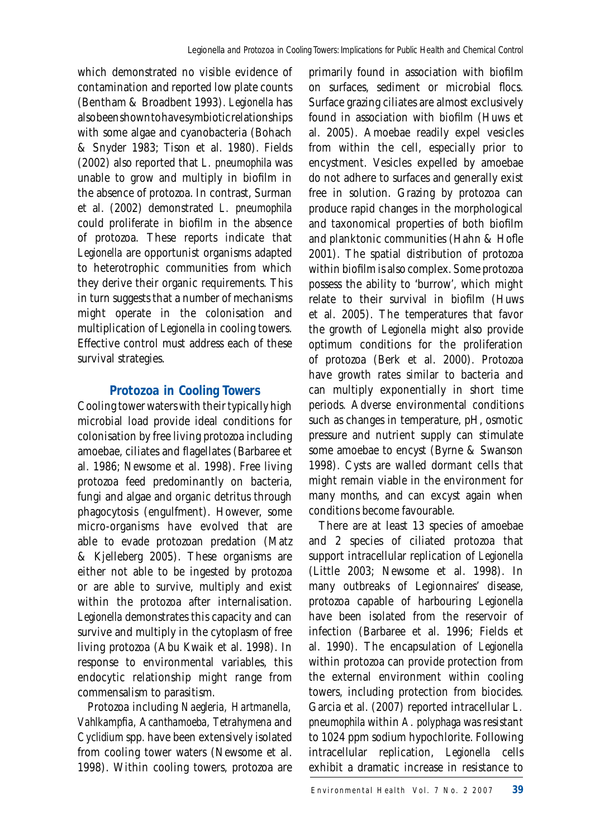which demonstrated no visible evidence of contamination and reported low plate counts (Bentham & Broadbent 1993). *Legionella* has also been shown to have symbiotic relationships with some algae and cyanobacteria (Bohach & Snyder 1983; Tison et al. 1980). Fields (2002) also reported that *L. pneumophila* was unable to grow and multiply in biofilm in the absence of protozoa. In contrast, Surman et al. (2002) demonstrated *L. pneumophila* could proliferate in biofilm in the absence of protozoa. These reports indicate that *Legionella* are opportunist organisms adapted to heterotrophic communities from which they derive their organic requirements. This in turn suggests that a number of mechanisms might operate in the colonisation and multiplication of *Legionella* in cooling towers. Effective control must address each of these survival strategies.

## **Protozoa in Cooling Towers**

Cooling tower waters with their typically high microbial load provide ideal conditions for colonisation by free living protozoa including amoebae, ciliates and flagellates (Barbaree et al. 1986; Newsome et al. 1998). Free living protozoa feed predominantly on bacteria, fungi and algae and organic detritus through phagocytosis (engulfment). However, some micro-organisms have evolved that are able to evade protozoan predation (Matz & Kjelleberg 2005). These organisms are either not able to be ingested by protozoa or are able to survive, multiply and exist within the protozoa after internalisation. *Legionella* demonstrates this capacity and can survive and multiply in the cytoplasm of free living protozoa (Abu Kwaik et al. 1998). In response to environmental variables, this endocytic relationship might range from commensalism to parasitism.

Protozoa including *Naegleria, Hartmanella,*  Vahlkampfia, Acanthamoeba, Tetrahymena and *Cyclidium* spp. have been extensively isolated from cooling tower waters (Newsome et al. 1998). Within cooling towers, protozoa are primarily found in association with biofilm on surfaces, sediment or microbial flocs. Surface grazing ciliates are almost exclusively found in association with biofilm (Huws et al. 2005). Amoebae readily expel vesicles from within the cell, especially prior to encystment. Vesicles expelled by amoebae do not adhere to surfaces and generally exist free in solution. Grazing by protozoa can produce rapid changes in the morphological and taxonomical properties of both biofilm and planktonic communities (Hahn & Hofle 2001). The spatial distribution of protozoa within biofilm is also complex. Some protozoa possess the ability to 'burrow', which might relate to their survival in biofilm (Huws et al. 2005). The temperatures that favor the growth of *Legionella* might also provide optimum conditions for the proliferation of protozoa (Berk et al. 2000). Protozoa have growth rates similar to bacteria and can multiply exponentially in short time periods. Adverse environmental conditions such as changes in temperature, pH, osmotic pressure and nutrient supply can stimulate some amoebae to encyst (Byrne & Swanson 1998). Cysts are walled dormant cells that might remain viable in the environment for many months, and can excyst again when conditions become favourable.

There are at least 13 species of amoebae and 2 species of ciliated protozoa that support intracellular replication of *Legionella* (Little 2003; Newsome et al. 1998). In many outbreaks of Legionnaires' disease, protozoa capable of harbouring *Legionella* have been isolated from the reservoir of infection (Barbaree et al. 1996; Fields et al. 1990). The encapsulation of *Legionella* within protozoa can provide protection from the external environment within cooling towers, including protection from biocides. Garcia et al. (2007) reported intracellular *L. pneumophila* within *A. polyphaga* was resistant to 1024 ppm sodium hypochlorite. Following intracellular replication, *Legionella* cells exhibit a dramatic increase in resistance to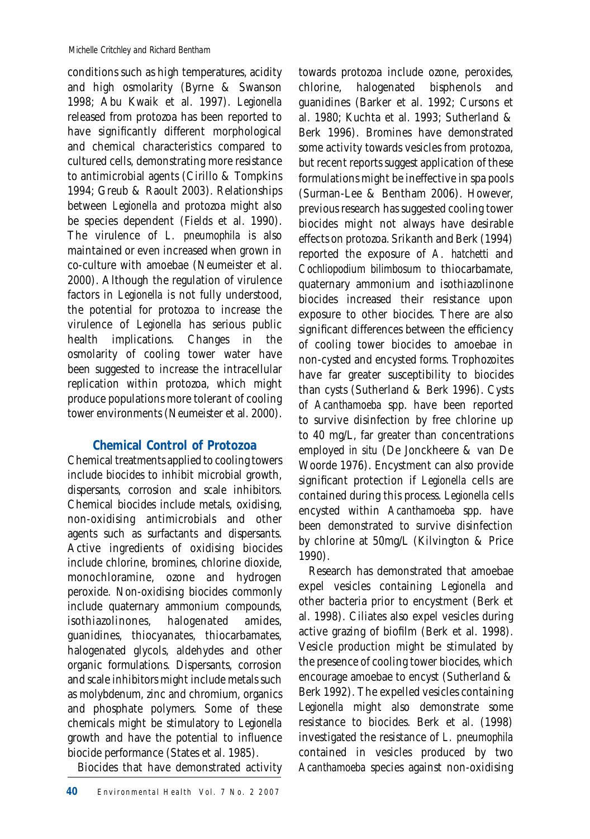conditions such as high temperatures, acidity and high osmolarity (Byrne & Swanson 1998; Abu Kwaik et al. 1997). *Legionella* released from protozoa has been reported to have significantly different morphological and chemical characteristics compared to cultured cells, demonstrating more resistance to antimicrobial agents (Cirillo & Tompkins 1994; Greub & Raoult 2003). Relationships between *Legionella* and protozoa might also be species dependent (Fields et al. 1990). The virulence of *L. pneumophila* is also maintained or even increased when grown in co-culture with amoebae (Neumeister et al. 2000). Although the regulation of virulence factors in *Legionella* is not fully understood, the potential for protozoa to increase the virulence of *Legionella* has serious public health implications. Changes in the osmolarity of cooling tower water have been suggested to increase the intracellular replication within protozoa, which might produce populations more tolerant of cooling tower environments (Neumeister et al. 2000).

## **Chemical Control of Protozoa**

Chemical treatments applied to cooling towers include biocides to inhibit microbial growth, dispersants, corrosion and scale inhibitors. Chemical biocides include metals, oxidising, non-oxidising antimicrobials and other agents such as surfactants and dispersants. Active ingredients of oxidising biocides include chlorine, bromines, chlorine dioxide, monochloramine, ozone and hydrogen peroxide. Non-oxidising biocides commonly include quaternary ammonium compounds,<br>isothiazolinones, halogenated amides, isothiazolinones, halogenated amides, guanidines, thiocyanates, thiocarbamates, halogenated glycols, aldehydes and other organic formulations. Dispersants, corrosion and scale inhibitors might include metals such as molybdenum, zinc and chromium, organics and phosphate polymers. Some of these chemicals might be stimulatory to *Legionella* growth and have the potential to influence biocide performance (States et al. 1985).

Biocides that have demonstrated activity

towards protozoa include ozone, peroxides, chlorine, halogenated bisphenols and guanidines (Barker et al. 1992; Cursons et al. 1980; Kuchta et al. 1993; Sutherland & Berk 1996). Bromines have demonstrated some activity towards vesicles from protozoa, but recent reports suggest application of these formulations might be ineffective in spa pools (Surman-Lee & Bentham 2006). However, previous research has suggested cooling tower biocides might not always have desirable effects on protozoa. Srikanth and Berk (1994) reported the exposure of *A. hatchetti* and *Cochliopodium bilimbosum* to thiocarbamate, quaternary ammonium and isothiazolinone biocides increased their resistance upon exposure to other biocides. There are also significant differences between the efficiency of cooling tower biocides to amoebae in non-cysted and encysted forms. Trophozoites have far greater susceptibility to biocides than cysts (Sutherland & Berk 1996). Cysts of *Acanthamoeba* spp. have been reported to survive disinfection by free chlorine up to 40 mg/L, far greater than concentrations employed *in situ* (De Jonckheere & van De Woorde 1976). Encystment can also provide significant protection if *Legionella* cells are contained during this process. *Legionella* cells encysted within *Acanthamoeba* spp. have been demonstrated to survive disinfection by chlorine at 50mg/L (Kilvington & Price 1990).

Research has demonstrated that amoebae expel vesicles containing *Legionella* and other bacteria prior to encystment (Berk et al. 1998). Ciliates also expel vesicles during active grazing of biofilm (Berk et al. 1998). Vesicle production might be stimulated by the presence of cooling tower biocides, which encourage amoebae to encyst (Sutherland & Berk 1992). The expelled vesicles containing *Legionella* might also demonstrate some resistance to biocides. Berk et al. (1998) investigated the resistance of *L. pneumophila*  contained in vesicles produced by two *Acanthamoeba* species against non-oxidising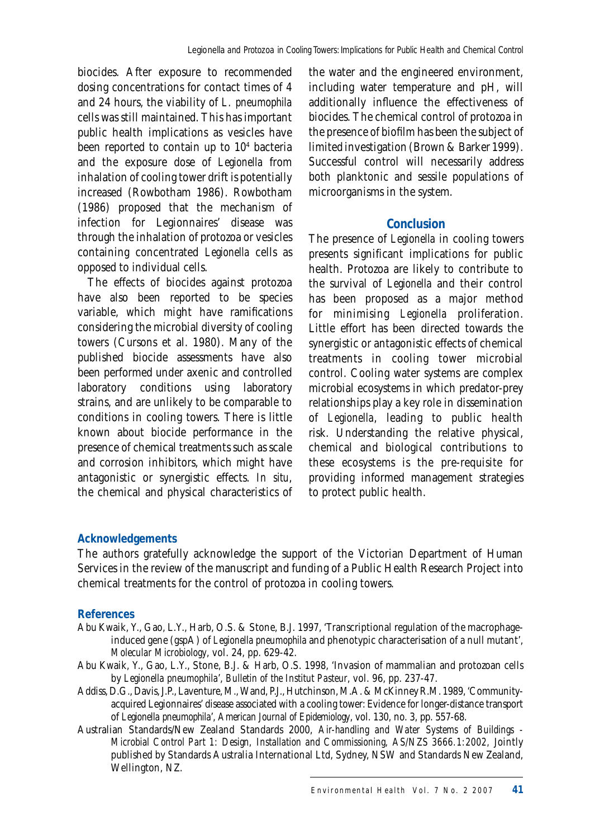biocides. After exposure to recommended dosing concentrations for contact times of 4 and 24 hours, the viability of *L. pneumophila* cells was still maintained. This has important public health implications as vesicles have been reported to contain up to 10<sup>4</sup> bacteria and the exposure dose of *Legionella* from inhalation of cooling tower drift is potentially increased (Rowbotham 1986). Rowbotham (1986) proposed that the mechanism of infection for Legionnaires' disease was through the inhalation of protozoa or vesicles containing concentrated *Legionella* cells as opposed to individual cells.

The effects of biocides against protozoa have also been reported to be species variable, which might have ramifications considering the microbial diversity of cooling towers (Cursons et al. 1980). Many of the published biocide assessments have also been performed under axenic and controlled laboratory conditions using laboratory strains, and are unlikely to be comparable to conditions in cooling towers. There is little known about biocide performance in the presence of chemical treatments such as scale and corrosion inhibitors, which might have antagonistic or synergistic effects. *In situ*, the chemical and physical characteristics of

the water and the engineered environment, including water temperature and pH, will additionally influence the effectiveness of biocides. The chemical control of protozoa in the presence of biofilm has been the subject of limited investigation (Brown & Barker 1999). Successful control will necessarily address both planktonic and sessile populations of microorganisms in the system.

#### **Conclusion**

The presence of *Legionella* in cooling towers presents significant implications for public health. Protozoa are likely to contribute to the survival of *Legionella* and their control has been proposed as a major method for minimising *Legionella* proliferation. Little effort has been directed towards the synergistic or antagonistic effects of chemical treatments in cooling tower microbial control. Cooling water systems are complex microbial ecosystems in which predator-prey relationships play a key role in dissemination of *Legionella*, leading to public health risk. Understanding the relative physical, chemical and biological contributions to these ecosystems is the pre-requisite for providing informed management strategies to protect public health.

#### *Acknowledgements*

The authors gratefully acknowledge the support of the Victorian Department of Human Services in the review of the manuscript and funding of a Public Health Research Project into chemical treatments for the control of protozoa in cooling towers.

#### *References*

- Abu Kwaik, Y., Gao, L.Y., Harb, O.S. & Stone, B.J. 1997, 'Transcriptional regulation of the macrophageinduced gene (gspA) of *Legionella pneumophila* and phenotypic characterisation of a null mutant', *Molecular Microbiology*, vol. 24, pp. 629-42.
- Abu Kwaik, Y., Gao, L.Y., Stone, B.J. & Harb, O.S. 1998, 'Invasion of mammalian and protozoan cells by *Legionella pneumophila*', *Bulletin of the Institut Pasteur*, vol. 96, pp. 237-47.
- Addiss, D.G., Davis, J.P., Laventure, M., Wand, P.J., Hutchinson, M.A. & McKinney R.M. 1989, 'Communityacquired Legionnaires' disease associated with a cooling tower: Evidence for longer-distance transport of *Legionella pneumophila*', *American Journal of Epidemiology*, vol. 130, no. 3, pp. 557-68.
- Australian Standards/New Zealand Standards 2000, *Air-handling and Water Systems of Buildings Microbial Control Part 1: Design, Installation and Commissioning, AS/NZS 3666.1:2002, Jointly* published by Standards Australia International Ltd, Sydney, NSW and Standards New Zealand, Wellington, NZ.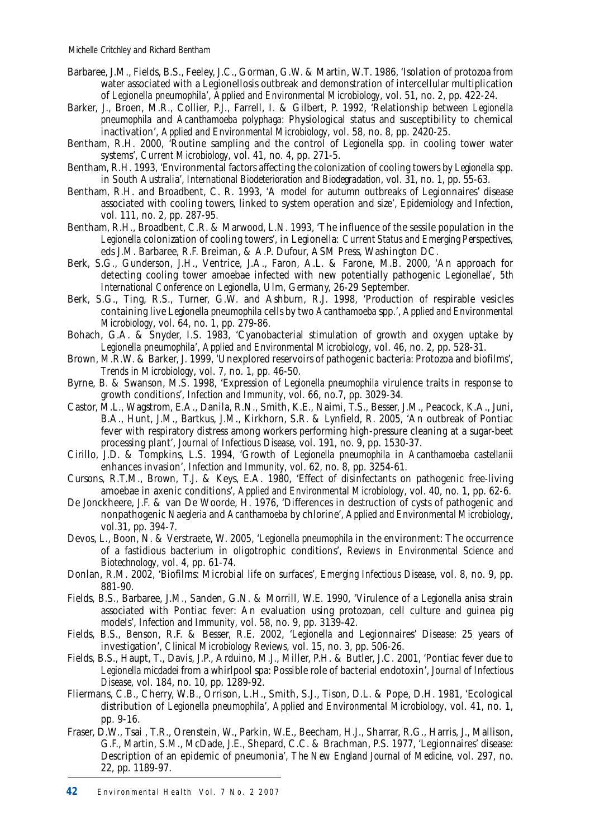- Barbaree, J.M., Fields, B.S., Feeley, J.C., Gorman, G.W. & Martin, W.T. 1986, 'Isolation of protozoa from water associated with a Legionellosis outbreak and demonstration of intercellular multiplication of *Legionella pneumophila*', *Applied and Environmental Microbiology*, vol. 51, no. 2, pp. 422-24.
- Barker, J., Broen, M.R., Collier, P.J., Farrell, I. & Gilbert, P. 1992, 'Relationship between *Legionella pneumophila* and *Acanthamoeba polyphaga*: Physiological status and susceptibility to chemical inactivation', *Applied and Environmental Microbiology*, vol. 58, no. 8, pp. 2420-25.
- Bentham, R.H. 2000, 'Routine sampling and the control of *Legionella* spp. in cooling tower water systems', *Current Microbiology*, vol. 41, no. 4, pp. 271-5.
- Bentham, R.H. 1993, 'Environmental factors affecting the colonization of cooling towers by *Legionella* spp. in South Australia', *International Biodeterioration and Biodegradation*, vol. 31, no. 1, pp. 55-63.
- Bentham, R.H. and Broadbent, C. R. 1993, 'A model for autumn outbreaks of Legionnaires' disease associated with cooling towers, linked to system operation and size', *Epidemiology and Infection*, vol. 111, no. 2, pp. 287-95.
- Bentham, R.H., Broadbent, C.R. & Marwood, L.N. 1993, 'The influence of the sessile population in the *Legionella* colonization of cooling towers', in Legionella*: Current Status and Emerging Perspectives*, eds J.M. Barbaree, R.F. Breiman, & A.P. Dufour, ASM Press, Washington DC.
- Berk, S.G., Gunderson, J.H., Ventrice, J.A., Faron, A.L. & Farone, M.B. 2000, 'An approach for detecting cooling tower amoebae infected with new potentially pathogenic *Legionellae'*, *5th International Conference on Legionella*, Ulm, Germany, 26-29 September.
- Berk, S.G., Ting, R.S., Turner, G.W. and Ashburn, R.J. 1998, 'Production of respirable vesicles containing live *Legionella pneumophila* cells by two *Acanthamoeba* spp.', *Applied and Environmental Microbiology*, vol. 64, no. 1, pp. 279-86.
- Bohach, G.A. & Snyder, I.S. 1983, 'Cyanobacterial stimulation of growth and oxygen uptake by *Legionella pneumophila*', *Applied and Environmental Microbiology*, vol. 46, no. 2, pp. 528-31.
- Brown, M.R.W. & Barker, J. 1999, 'Unexplored reservoirs of pathogenic bacteria: Protozoa and biofilms', *Trends in Microbiology*, vol. 7, no. 1, pp. 46-50.
- Byrne, B. & Swanson, M.S. 1998, 'Expression of *Legionella pneumophila* virulence traits in response to growth conditions', *Infection and Immunity*, vol. 66, no.7, pp. 3029-34.
- Castor, M.L., Wagstrom, E.A., Danila, R.N., Smith, K.E., Naimi, T.S., Besser, J.M., Peacock, K.A., Juni, B.A., Hunt, J.M., Bartkus, J.M., Kirkhorn, S.R. & Lynfield, R. 2005, 'An outbreak of Pontiac fever with respiratory distress among workers performing high-pressure cleaning at a sugar-beet processing plant', *Journal of Infectious Disease*, vol. 191, no. 9, pp. 1530-37.
- Cirillo, J.D. & Tompkins, L.S. 1994, 'Growth of *Legionella pneumophila* in *Acanthamoeba castellanii* enhances invasion', *Infection and Immunity*, vol. 62, no. 8, pp. 3254-61.
- Cursons, R.T.M., Brown, T.J. & Keys, E.A. 1980, 'Effect of disinfectants on pathogenic free-living amoebae in axenic conditions', *Applied and Environmental Microbiology*, vol. 40, no. 1, pp. 62-6.
- De Jonckheere, J.F. & van De Woorde, H. 1976, 'Differences in destruction of cysts of pathogenic and nonpathogenic *Naegleria* and *Acanthamoeba* by chlorine', *Applied and Environmental Microbiology*, vol.31, pp. 394-7.
- Devos, L., Boon, N. & Verstraete, W. 2005, '*Legionella pneumophila* in the environment: The occurrence of a fastidious bacterium in oligotrophic conditions', *Reviews in Environmental Science and Biotechnology*, vol. 4, pp. 61-74.
- Donlan, R.M. 2002, 'Biofilms: Microbial life on surfaces', *Emerging Infectious Disease*, vol. 8, no. 9, pp. 881-90.
- Fields, B.S., Barbaree, J.M., Sanden, G.N. & Morrill, W.E. 1990, 'Virulence of a *Legionella anisa* strain associated with Pontiac fever: An evaluation using protozoan, cell culture and guinea pig models', *Infection and Immunity*, vol. 58, no. 9, pp. 3139-42.
- Fields, B.S., Benson, R.F. & Besser, R.E. 2002, '*Legionella* and Legionnaires' Disease: 25 years of investigation', *Clinical Microbiology Reviews*, vol. 15, no. 3, pp. 506-26.
- Fields, B.S., Haupt, T., Davis, J.P., Arduino, M.J., Miller, P.H. & Butler, J.C. 2001, 'Pontiac fever due to *Legionella micdadei* from a whirlpool spa: Possible role of bacterial endotoxin', *Journal of Infectious Disease*, vol. 184, no. 10, pp. 1289-92.
- Fliermans, C.B., Cherry, W.B., Orrison, L.H., Smith, S.J., Tison, D.L. & Pope, D.H. 1981, 'Ecological distribution of *Legionella pneumophila*', *Applied and Environmental Microbiology*, vol. 41, no. 1, pp. 9-16.
- Fraser, D.W., Tsai , T.R., Orenstein, W., Parkin, W.E., Beecham, H.J., Sharrar, R.G., Harris, J., Mallison, G.F., Martin, S.M., McDade, J.E., Shepard, C.C. & Brachman, P.S. 1977, 'Legionnaires' disease: Description of an epidemic of pneumonia', *The New England Journal of Medicine*, vol. 297, no. 22, pp. 1189-97.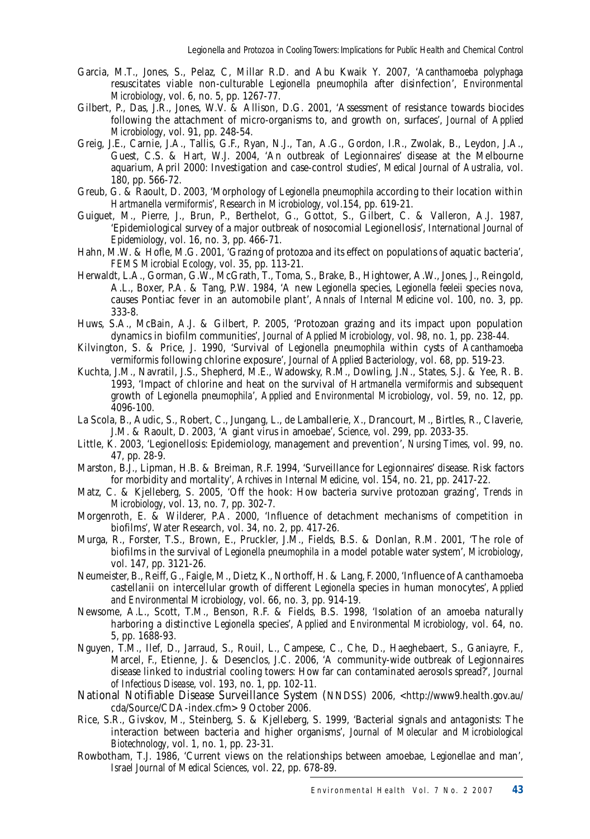- Garcia, M.T., Jones, S., Pelaz, C, Millar R.D. and Abu Kwaik Y. 2007, '*Acanthamoeba polyphaga*  resuscitates viable non-culturable *Legionella pneumophila* after disinfection', *Environmental Microbiology*, vol. 6, no. 5, pp. 1267-77.
- Gilbert, P., Das, J.R., Jones, W.V. & Allison, D.G. 2001, 'Assessment of resistance towards biocides following the attachment of micro-organisms to, and growth on, surfaces', *Journal of Applied Microbiology*, vol. 91, pp. 248-54.
- Greig, J.E., Carnie, J.A., Tallis, G.F., Ryan, N.J., Tan, A.G., Gordon, I.R., Zwolak, B., Leydon, J.A., Guest, C.S. & Hart, W.J. 2004, 'An outbreak of Legionnaires' disease at the Melbourne aquarium, April 2000: Investigation and case-control studies', *Medical Journal of Australia*, vol. 180, pp. 566-72.
- Greub, G. & Raoult, D. 2003, 'Morphology of *Legionella pneumophila* according to their location within *Hartmanella vermiformis*', *Research in Microbiology*, vol.154, pp. 619-21.
- Guiguet, M., Pierre, J., Brun, P., Berthelot, G., Gottot, S., Gilbert, C. & Valleron, A.J. 1987, 'Epidemiological survey of a major outbreak of nosocomial Legionellosis', *International Journal of Epidemiology*, vol. 16, no. 3, pp. 466-71.
- Hahn, M.W. & Hofle, M.G. 2001, 'Grazing of protozoa and its effect on populations of aquatic bacteria', *FEMS Microbial Ecology*, vol. 35, pp. 113-21.
- Herwaldt, L.A., Gorman, G.W., McGrath, T., Toma, S., Brake, B., Hightower, A.W., Jones, J., Reingold, A.L., Boxer, P.A. & Tang, P.W. 1984, 'A new *Legionella* species, *Legionella feeleii* species nova, causes Pontiac fever in an automobile plant', *Annals of Internal Medicine* vol. 100, no. 3, pp. 333-8.
- Huws, S.A., McBain, A.J. & Gilbert, P. 2005, 'Protozoan grazing and its impact upon population dynamics in biofilm communities', *Journal of Applied Microbiology*, vol. 98, no. 1, pp. 238-44.
- Kilvington, S. & Price, J. 1990, 'Survival of *Legionella pneumophila* within cysts of *Acanthamoeba vermiformis* following chlorine exposure', *Journal of Applied Bacteriology*, vol. 68, pp. 519-23.
- Kuchta, J.M., Navratil, J.S., Shepherd, M.E., Wadowsky, R.M., Dowling, J.N., States, S.J. & Yee, R. B. 1993, 'Impact of chlorine and heat on the survival of *Hartmanella vermiformis* and subsequent growth of *Legionella pneumophila*', *Applied and Environmental Microbiology*, vol. 59, no. 12, pp. 4096-100.
- La Scola, B., Audic, S., Robert, C., Jungang, L., de Lamballerie, X., Drancourt, M., Birtles, R., Claverie, J.M. & Raoult, D. 2003, 'A giant virus in amoebae', *Science*, vol. 299, pp. 2033-35.
- Little, K. 2003, 'Legionellosis: Epidemiology, management and prevention', *Nursing Times*, vol. 99, no. 47, pp. 28-9.
- Marston, B.J., Lipman, H.B. & Breiman, R.F. 1994, 'Surveillance for Legionnaires' disease. Risk factors for morbidity and mortality', *Archives in Internal Medicine*, vol. 154, no. 21, pp. 2417-22.
- Matz, C. & Kjelleberg, S. 2005, 'Off the hook: How bacteria survive protozoan grazing', *Trends in Microbiology*, vol. 13, no. 7, pp. 302-7.
- Morgenroth, E. & Wilderer, P.A. 2000, 'Influence of detachment mechanisms of competition in biofilms', Water Research, vol. 34, no. 2, pp. 417-26.
- Murga, R., Forster, T.S., Brown, E., Pruckler, J.M., Fields, B.S. & Donlan, R.M. 2001, 'The role of biofilms in the survival of *Legionella pneumophila* in a model potable water system', *Microbiology*, vol. 147, pp. 3121-26.
- Neumeister, B., Reiff, G., Faigle, M., Dietz, K., Northoff, H. & Lang, F. 2000, 'Influence of Acanthamoeba castellanii on intercellular growth of different *Legionella* species in human monocytes', *Applied and Environmental Microbiology*, vol. 66, no. 3, pp. 914-19.
- Newsome, A.L., Scott, T.M., Benson, R.F. & Fields, B.S. 1998, 'Isolation of an amoeba naturally harboring a distinctive *Legionella* species', *Applied and Environmental Microbiology*, vol. 64, no. 5, pp. 1688-93.
- Nguyen, T.M., Ilef, D., Jarraud, S., Rouil, L., Campese, C., Che, D., Haeghebaert, S., Ganiayre, F., Marcel, F., Etienne, J. & Desenclos, J.C. 2006, 'A community-wide outbreak of Legionnaires disease linked to industrial cooling towers: How far can contaminated aerosols spread?', *Journal of Infectious Disease*, vol. 193, no. 1, pp. 102-11.
- National Notifiable Disease Surveillance System (NNDSS) 2006, <http://www9.health.gov.au/ cda/Source/CDA-index.cfm> 9 October 2006.
- Rice, S.R., Givskov, M., Steinberg, S. & Kjelleberg, S. 1999, 'Bacterial signals and antagonists: The interaction between bacteria and higher organisms', *Journal of Molecular and Microbiological Biotechnology*, vol. 1, no. 1, pp. 23-31.
- Rowbotham, T.J. 1986, 'Current views on the relationships between amoebae, *Legionellae* and man', *Israel Journal of Medical Sciences*, vol. 22, pp. 678-89.